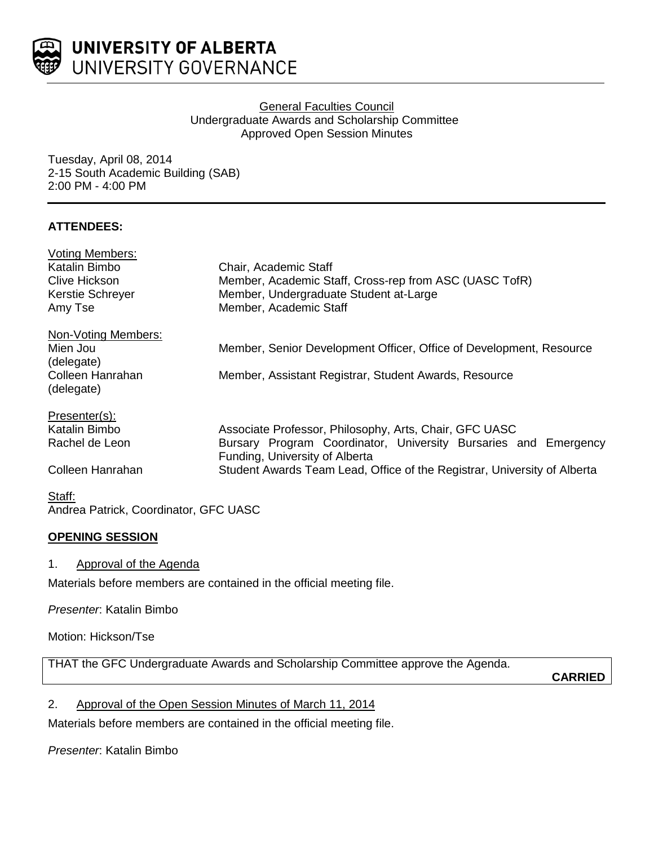

## **General Faculties Council** Undergraduate Awards and Scholarship Committee Approved Open Session Minutes

Tuesday, April 08, 2014 2-15 South Academic Building (SAB) 2:00 PM - 4:00 PM

## **ATTENDEES:**

| <b>Voting Members:</b>         |                                                                                                   |
|--------------------------------|---------------------------------------------------------------------------------------------------|
| Katalin Bimbo                  | Chair, Academic Staff                                                                             |
| <b>Clive Hickson</b>           | Member, Academic Staff, Cross-rep from ASC (UASC TofR)                                            |
| <b>Kerstie Schreyer</b>        | Member, Undergraduate Student at-Large                                                            |
| Amy Tse                        | Member, Academic Staff                                                                            |
| Non-Voting Members:            |                                                                                                   |
| Mien Jou                       | Member, Senior Development Officer, Office of Development, Resource                               |
| (delegate)                     |                                                                                                   |
| Colleen Hanrahan<br>(delegate) | Member, Assistant Registrar, Student Awards, Resource                                             |
|                                |                                                                                                   |
| Presenter(s):                  |                                                                                                   |
| Katalin Bimbo                  | Associate Professor, Philosophy, Arts, Chair, GFC UASC                                            |
| Rachel de Leon                 | Bursary Program Coordinator, University Bursaries and Emergency<br>Funding, University of Alberta |
| Colleen Hanrahan               | Student Awards Team Lead, Office of the Registrar, University of Alberta                          |

## Staff: Andrea Patrick, Coordinator, GFC UASC

## **OPENING SESSION**

## 1. Approval of the Agenda

Materials before members are contained in the official meeting file.

*Presenter*: Katalin Bimbo

Motion: Hickson/Tse

THAT the GFC Undergraduate Awards and Scholarship Committee approve the Agenda.

**CARRIED**

2. Approval of the Open Session Minutes of March 11, 2014

Materials before members are contained in the official meeting file.

## *Presenter*: Katalin Bimbo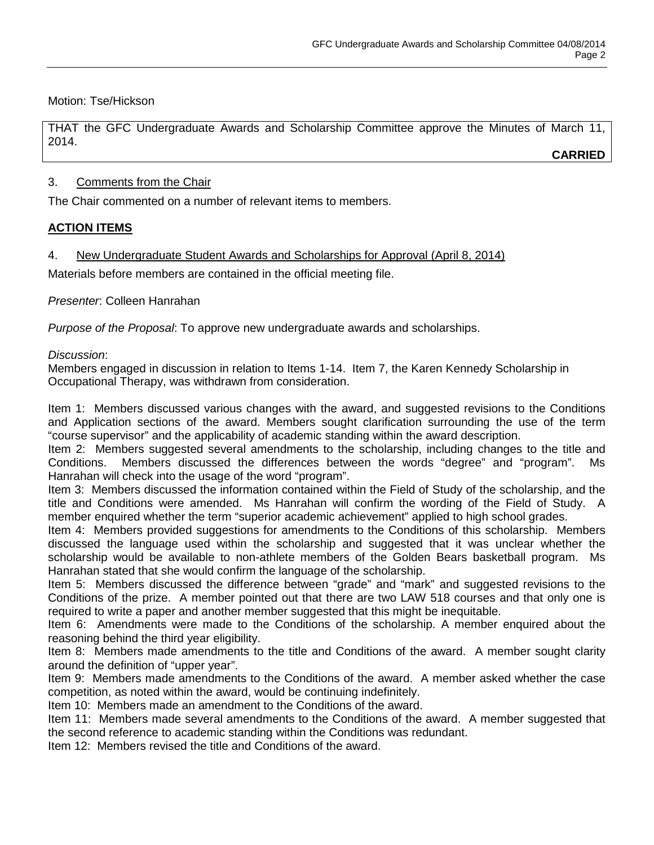Motion: Tse/Hickson

THAT the GFC Undergraduate Awards and Scholarship Committee approve the Minutes of March 11, 2014.

**CARRIED**

## 3. Comments from the Chair

The Chair commented on a number of relevant items to members.

## **ACTION ITEMS**

4. New Undergraduate Student Awards and Scholarships for Approval (April 8, 2014)

Materials before members are contained in the official meeting file.

*Presenter*: Colleen Hanrahan

*Purpose of the Proposal*: To approve new undergraduate awards and scholarships.

## *Discussion*:

Members engaged in discussion in relation to Items 1-14. Item 7, the Karen Kennedy Scholarship in Occupational Therapy, was withdrawn from consideration.

Item 1: Members discussed various changes with the award, and suggested revisions to the Conditions and Application sections of the award. Members sought clarification surrounding the use of the term "course supervisor" and the applicability of academic standing within the award description.

Item 2: Members suggested several amendments to the scholarship, including changes to the title and Conditions. Members discussed the differences between the words "degree" and "program". Ms Hanrahan will check into the usage of the word "program".

Item 3: Members discussed the information contained within the Field of Study of the scholarship, and the title and Conditions were amended. Ms Hanrahan will confirm the wording of the Field of Study. A member enquired whether the term "superior academic achievement" applied to high school grades.

Item 4: Members provided suggestions for amendments to the Conditions of this scholarship. Members discussed the language used within the scholarship and suggested that it was unclear whether the scholarship would be available to non-athlete members of the Golden Bears basketball program. Ms Hanrahan stated that she would confirm the language of the scholarship.

Item 5: Members discussed the difference between "grade" and "mark" and suggested revisions to the Conditions of the prize. A member pointed out that there are two LAW 518 courses and that only one is required to write a paper and another member suggested that this might be inequitable.

Item 6: Amendments were made to the Conditions of the scholarship. A member enquired about the reasoning behind the third year eligibility.

Item 8: Members made amendments to the title and Conditions of the award. A member sought clarity around the definition of "upper year".

Item 9: Members made amendments to the Conditions of the award. A member asked whether the case competition, as noted within the award, would be continuing indefinitely.

Item 10: Members made an amendment to the Conditions of the award.

Item 11: Members made several amendments to the Conditions of the award. A member suggested that the second reference to academic standing within the Conditions was redundant.

Item 12: Members revised the title and Conditions of the award.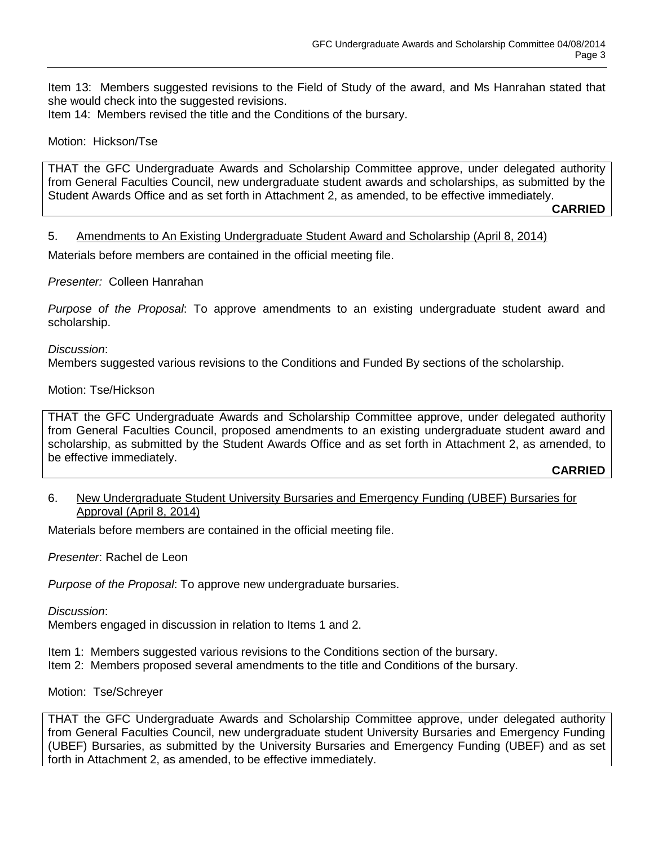Item 13: Members suggested revisions to the Field of Study of the award, and Ms Hanrahan stated that she would check into the suggested revisions. Item 14: Members revised the title and the Conditions of the bursary.

#### Motion: Hickson/Tse

THAT the GFC Undergraduate Awards and Scholarship Committee approve, under delegated authority from General Faculties Council, new undergraduate student awards and scholarships, as submitted by the Student Awards Office and as set forth in Attachment 2, as amended, to be effective immediately.

**CARRIED**

5. Amendments to An Existing Undergraduate Student Award and Scholarship (April 8, 2014)

Materials before members are contained in the official meeting file.

#### *Presenter:* Colleen Hanrahan

*Purpose of the Proposal*: To approve amendments to an existing undergraduate student award and scholarship.

#### *Discussion*:

Members suggested various revisions to the Conditions and Funded By sections of the scholarship.

#### Motion: Tse/Hickson

THAT the GFC Undergraduate Awards and Scholarship Committee approve, under delegated authority from General Faculties Council, proposed amendments to an existing undergraduate student award and scholarship, as submitted by the Student Awards Office and as set forth in Attachment 2, as amended, to be effective immediately.

#### **CARRIED**

#### 6. New Undergraduate Student University Bursaries and Emergency Funding (UBEF) Bursaries for Approval (April 8, 2014)

Materials before members are contained in the official meeting file.

*Presenter*: Rachel de Leon

*Purpose of the Proposal*: To approve new undergraduate bursaries.

#### *Discussion*:

Members engaged in discussion in relation to Items 1 and 2.

Item 1: Members suggested various revisions to the Conditions section of the bursary.

Item 2: Members proposed several amendments to the title and Conditions of the bursary.

#### Motion: Tse/Schreyer

THAT the GFC Undergraduate Awards and Scholarship Committee approve, under delegated authority from General Faculties Council, new undergraduate student University Bursaries and Emergency Funding (UBEF) Bursaries, as submitted by the University Bursaries and Emergency Funding (UBEF) and as set forth in Attachment 2, as amended, to be effective immediately.